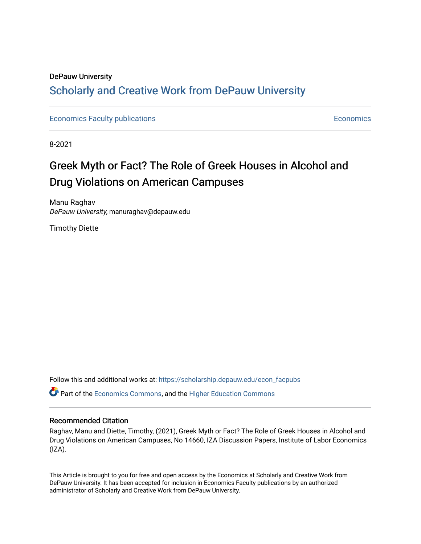## DePauw University Scholarly and [Creative Work from DePauw Univ](https://scholarship.depauw.edu/)ersity

[Economics Faculty publications](https://scholarship.depauw.edu/econ_facpubs) **Economics** [Economics](https://scholarship.depauw.edu/economics) **Economics** 

8-2021

## Greek Myth or Fact? The Role of Greek Houses in Alcohol and Drug Violations on American Campuses

Manu Raghav DePauw University, manuraghav@depauw.edu

Timothy Diette

Follow this and additional works at: [https://scholarship.depauw.edu/econ\\_facpubs](https://scholarship.depauw.edu/econ_facpubs?utm_source=scholarship.depauw.edu%2Fecon_facpubs%2F9&utm_medium=PDF&utm_campaign=PDFCoverPages)

**P** Part of the [Economics Commons](https://network.bepress.com/hgg/discipline/340?utm_source=scholarship.depauw.edu%2Fecon_facpubs%2F9&utm_medium=PDF&utm_campaign=PDFCoverPages), and the Higher Education Commons

#### Recommended Citation

Raghav, Manu and Diette, Timothy, (2021), Greek Myth or Fact? The Role of Greek Houses in Alcohol and Drug Violations on American Campuses, No 14660, IZA Discussion Papers, Institute of Labor Economics  $(IZA)$ .

This Article is brought to you for free and open access by the Economics at Scholarly and Creative Work from DePauw University. It has been accepted for inclusion in Economics Faculty publications by an authorized administrator of Scholarly and Creative Work from DePauw University.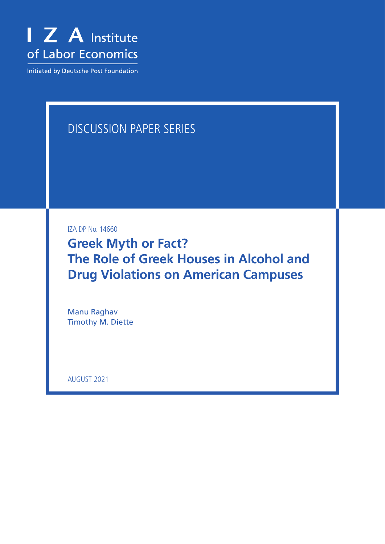

Initiated by Deutsche Post Foundation

# DISCUSSION PAPER SERIES

IZA DP No. 14660

**Greek Myth or Fact? The Role of Greek Houses in Alcohol and Drug Violations on American Campuses**

Manu Raghav Timothy M. Diette

AUGUST 2021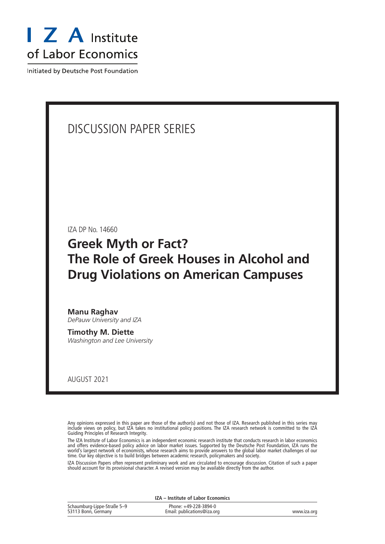

Initiated by Deutsche Post Foundation

## DISCUSSION PAPER SERIES

IZA DP No. 14660

## **Greek Myth or Fact? The Role of Greek Houses in Alcohol and Drug Violations on American Campuses**

**Manu Raghav** *DePauw University and IZA*

**Timothy M. Diette** *Washington and Lee University*

AUGUST 2021

Any opinions expressed in this paper are those of the author(s) and not those of IZA. Research published in this series may include views on policy, but IZA takes no institutional policy positions. The IZA research network is committed to the IZA Guiding Principles of Research Integrity.

The IZA Institute of Labor Economics is an independent economic research institute that conducts research in labor economics and offers evidence-based policy advice on labor market issues. Supported by the Deutsche Post Foundation, IZA runs the world's largest network of economists, whose research aims to provide answers to the global labor market challenges of our time. Our key objective is to build bridges between academic research, policymakers and society.

IZA Discussion Papers often represent preliminary work and are circulated to encourage discussion. Citation of such a paper should account for its provisional character. A revised version may be available directly from the author.

| IZA – Institute of Labor Economics                 |                                                      |             |  |  |
|----------------------------------------------------|------------------------------------------------------|-------------|--|--|
| Schaumburg-Lippe-Straße 5-9<br>53113 Bonn, Germany | Phone: +49-228-3894-0<br>Email: publications@iza.org | www.iza.org |  |  |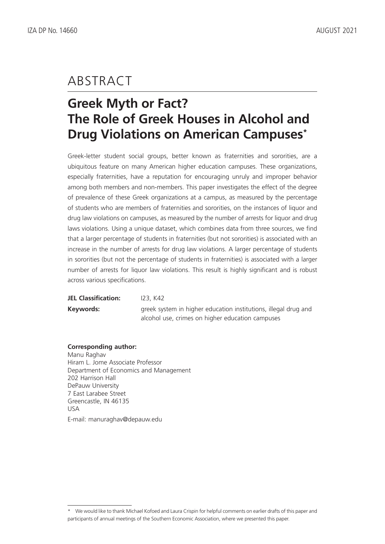# ABSTRACT

# **Greek Myth or Fact? The Role of Greek Houses in Alcohol and Drug Violations on American Campuses\***

Greek-letter student social groups, better known as fraternities and sororities, are a ubiquitous feature on many American higher education campuses. These organizations, especially fraternities, have a reputation for encouraging unruly and improper behavior among both members and non-members. This paper investigates the effect of the degree of prevalence of these Greek organizations at a campus, as measured by the percentage of students who are members of fraternities and sororities, on the instances of liquor and drug law violations on campuses, as measured by the number of arrests for liquor and drug laws violations. Using a unique dataset, which combines data from three sources, we find that a larger percentage of students in fraternities (but not sororities) is associated with an increase in the number of arrests for drug law violations. A larger percentage of students in sororities (but not the percentage of students in fraternities) is associated with a larger number of arrests for liquor law violations. This result is highly significant and is robust across various specifications.

| <b>JEL Classification:</b> | 123, K42                                                                                                            |
|----------------------------|---------------------------------------------------------------------------------------------------------------------|
| Keywords:                  | greek system in higher education institutions, illegal drug and<br>alcohol use, crimes on higher education campuses |

#### **Corresponding author:**

Manu Raghav Hiram L. Jome Associate Professor Department of Economics and Management 202 Harrison Hall DePauw University 7 East Larabee Street Greencastle, IN 46135 USA E-mail: manuraghav@depauw.edu

<sup>\*</sup> We would like to thank Michael Kofoed and Laura Crispin for helpful comments on earlier drafts of this paper and participants of annual meetings of the Southern Economic Association, where we presented this paper.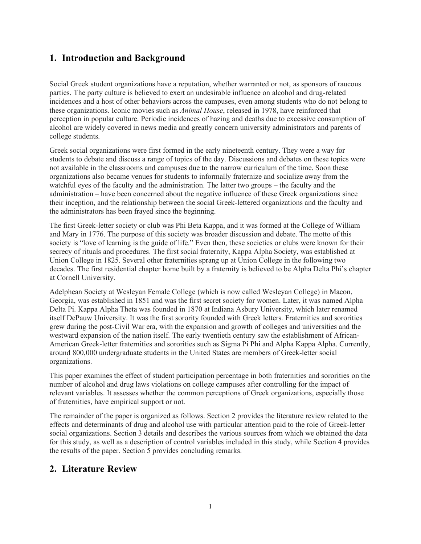### **1. Introduction and Background**

Social Greek student organizations have a reputation, whether warranted or not, as sponsors of raucous parties. The party culture is believed to exert an undesirable influence on alcohol and drug-related incidences and a host of other behaviors across the campuses, even among students who do not belong to these organizations. Iconic movies such as *Animal House*, released in 1978, have reinforced that perception in popular culture. Periodic incidences of hazing and deaths due to excessive consumption of alcohol are widely covered in news media and greatly concern university administrators and parents of college students.

Greek social organizations were first formed in the early nineteenth century. They were a way for students to debate and discuss a range of topics of the day. Discussions and debates on these topics were not available in the classrooms and campuses due to the narrow curriculum of the time. Soon these organizations also became venues for students to informally fraternize and socialize away from the watchful eyes of the faculty and the administration. The latter two groups – the faculty and the administration – have been concerned about the negative influence of these Greek organizations since their inception, and the relationship between the social Greek-lettered organizations and the faculty and the administrators has been frayed since the beginning.

The first Greek-letter society or club was Phi Beta Kappa, and it was formed at the College of William and Mary in 1776. The purpose of this society was broader discussion and debate. The motto of this society is "love of learning is the guide of life." Even then, these societies or clubs were known for their secrecy of rituals and procedures. The first social fraternity, Kappa Alpha Society, was established at Union College in 1825. Several other fraternities sprang up at Union College in the following two decades. The first residential chapter home built by a fraternity is believed to be Alpha Delta Phi's chapter at Cornell University.

Adelphean Society at Wesleyan Female College (which is now called Wesleyan College) in Macon, Georgia, was established in 1851 and was the first secret society for women. Later, it was named Alpha Delta Pi. Kappa Alpha Theta was founded in 1870 at Indiana Asbury University, which later renamed itself DePauw University. It was the first sorority founded with Greek letters. Fraternities and sororities grew during the post-Civil War era, with the expansion and growth of colleges and universities and the westward expansion of the nation itself. The early twentieth century saw the establishment of African-American Greek-letter fraternities and sororities such as Sigma Pi Phi and Alpha Kappa Alpha. Currently, around 800,000 undergraduate students in the United States are members of Greek-letter social organizations.

This paper examines the effect of student participation percentage in both fraternities and sororities on the number of alcohol and drug laws violations on college campuses after controlling for the impact of relevant variables. It assesses whether the common perceptions of Greek organizations, especially those of fraternities, have empirical support or not.

The remainder of the paper is organized as follows. Section 2 provides the literature review related to the effects and determinants of drug and alcohol use with particular attention paid to the role of Greek-letter social organizations. Section 3 details and describes the various sources from which we obtained the data for this study, as well as a description of control variables included in this study, while Section 4 provides the results of the paper. Section 5 provides concluding remarks.

### **2. Literature Review**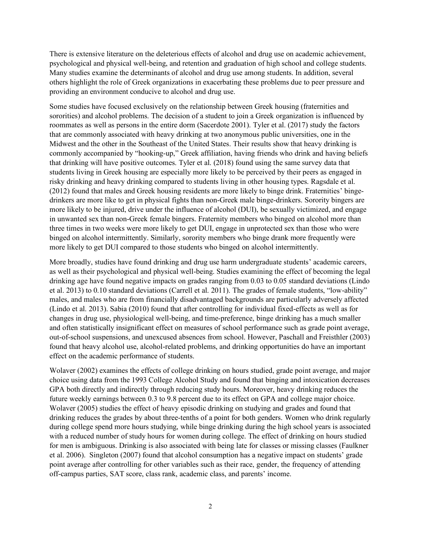There is extensive literature on the deleterious effects of alcohol and drug use on academic achievement, psychological and physical well-being, and retention and graduation of high school and college students. Many studies examine the determinants of alcohol and drug use among students. In addition, several others highlight the role of Greek organizations in exacerbating these problems due to peer pressure and providing an environment conducive to alcohol and drug use.

Some studies have focused exclusively on the relationship between Greek housing (fraternities and sororities) and alcohol problems. The decision of a student to join a Greek organization is influenced by roommates as well as persons in the entire dorm (Sacerdote 2001). Tyler et al. (2017) study the factors that are commonly associated with heavy drinking at two anonymous public universities, one in the Midwest and the other in the Southeast of the United States. Their results show that heavy drinking is commonly accompanied by "hooking-up," Greek affiliation, having friends who drink and having beliefs that drinking will have positive outcomes. Tyler et al. (2018) found using the same survey data that students living in Greek housing are especially more likely to be perceived by their peers as engaged in risky drinking and heavy drinking compared to students living in other housing types. Ragsdale et al. (2012) found that males and Greek housing residents are more likely to binge drink. Fraternities' bingedrinkers are more like to get in physical fights than non-Greek male binge-drinkers. Sorority bingers are more likely to be injured, drive under the influence of alcohol (DUI), be sexually victimized, and engage in unwanted sex than non-Greek female bingers. Fraternity members who binged on alcohol more than three times in two weeks were more likely to get DUI, engage in unprotected sex than those who were binged on alcohol intermittently. Similarly, sorority members who binge drank more frequently were more likely to get DUI compared to those students who binged on alcohol intermittently.

More broadly, studies have found drinking and drug use harm undergraduate students' academic careers, as well as their psychological and physical well-being. Studies examining the effect of becoming the legal drinking age have found negative impacts on grades ranging from 0.03 to 0.05 standard deviations (Lindo et al. 2013) to 0.10 standard deviations (Carrell et al. 2011). The grades of female students, "low-ability" males, and males who are from financially disadvantaged backgrounds are particularly adversely affected (Lindo et al. 2013). Sabia (2010) found that after controlling for individual fixed-effects as well as for changes in drug use, physiological well-being, and time-preference, binge drinking has a much smaller and often statistically insignificant effect on measures of school performance such as grade point average, out-of-school suspensions, and unexcused absences from school. However, Paschall and Freisthler (2003) found that heavy alcohol use, alcohol-related problems, and drinking opportunities do have an important effect on the academic performance of students.

Wolaver (2002) examines the effects of college drinking on hours studied, grade point average, and major choice using data from the 1993 College Alcohol Study and found that binging and intoxication decreases GPA both directly and indirectly through reducing study hours. Moreover, heavy drinking reduces the future weekly earnings between 0.3 to 9.8 percent due to its effect on GPA and college major choice. Wolaver (2005) studies the effect of heavy episodic drinking on studying and grades and found that drinking reduces the grades by about three-tenths of a point for both genders. Women who drink regularly during college spend more hours studying, while binge drinking during the high school years is associated with a reduced number of study hours for women during college. The effect of drinking on hours studied for men is ambiguous. Drinking is also associated with being late for classes or missing classes (Faulkner et al. 2006). Singleton (2007) found that alcohol consumption has a negative impact on students' grade point average after controlling for other variables such as their race, gender, the frequency of attending off-campus parties, SAT score, class rank, academic class, and parents' income.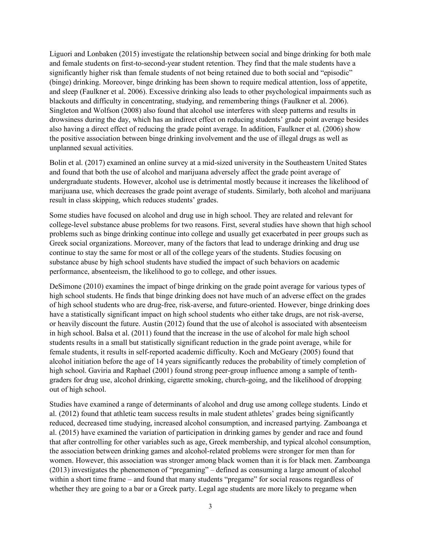Liguori and Lonbaken (2015) investigate the relationship between social and binge drinking for both male and female students on first-to-second-year student retention. They find that the male students have a significantly higher risk than female students of not being retained due to both social and "episodic" (binge) drinking. Moreover, binge drinking has been shown to require medical attention, loss of appetite, and sleep (Faulkner et al. 2006). Excessive drinking also leads to other psychological impairments such as blackouts and difficulty in concentrating, studying, and remembering things (Faulkner et al. 2006). Singleton and Wolfson (2008) also found that alcohol use interferes with sleep patterns and results in drowsiness during the day, which has an indirect effect on reducing students' grade point average besides also having a direct effect of reducing the grade point average. In addition, Faulkner et al. (2006) show the positive association between binge drinking involvement and the use of illegal drugs as well as unplanned sexual activities.

Bolin et al. (2017) examined an online survey at a mid-sized university in the Southeastern United States and found that both the use of alcohol and marijuana adversely affect the grade point average of undergraduate students. However, alcohol use is detrimental mostly because it increases the likelihood of marijuana use, which decreases the grade point average of students. Similarly, both alcohol and marijuana result in class skipping, which reduces students' grades.

Some studies have focused on alcohol and drug use in high school. They are related and relevant for college-level substance abuse problems for two reasons. First, several studies have shown that high school problems such as binge drinking continue into college and usually get exacerbated in peer groups such as Greek social organizations. Moreover, many of the factors that lead to underage drinking and drug use continue to stay the same for most or all of the college years of the students. Studies focusing on substance abuse by high school students have studied the impact of such behaviors on academic performance, absenteeism, the likelihood to go to college, and other issues.

DeSimone (2010) examines the impact of binge drinking on the grade point average for various types of high school students. He finds that binge drinking does not have much of an adverse effect on the grades of high school students who are drug-free, risk-averse, and future-oriented. However, binge drinking does have a statistically significant impact on high school students who either take drugs, are not risk-averse, or heavily discount the future. Austin (2012) found that the use of alcohol is associated with absenteeism in high school. Balsa et al. (2011) found that the increase in the use of alcohol for male high school students results in a small but statistically significant reduction in the grade point average, while for female students, it results in self-reported academic difficulty. Koch and McGeary (2005) found that alcohol initiation before the age of 14 years significantly reduces the probability of timely completion of high school. Gaviria and Raphael (2001) found strong peer-group influence among a sample of tenthgraders for drug use, alcohol drinking, cigarette smoking, church-going, and the likelihood of dropping out of high school.

Studies have examined a range of determinants of alcohol and drug use among college students. Lindo et al. (2012) found that athletic team success results in male student athletes' grades being significantly reduced, decreased time studying, increased alcohol consumption, and increased partying. Zamboanga et al. (2015) have examined the variation of participation in drinking games by gender and race and found that after controlling for other variables such as age, Greek membership, and typical alcohol consumption, the association between drinking games and alcohol-related problems were stronger for men than for women. However, this association was stronger among black women than it is for black men. Zamboanga (2013) investigates the phenomenon of "pregaming" – defined as consuming a large amount of alcohol within a short time frame – and found that many students "pregame" for social reasons regardless of whether they are going to a bar or a Greek party. Legal age students are more likely to pregame when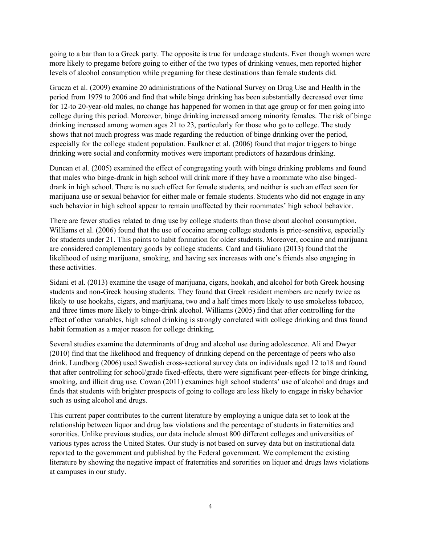going to a bar than to a Greek party. The opposite is true for underage students. Even though women were more likely to pregame before going to either of the two types of drinking venues, men reported higher levels of alcohol consumption while pregaming for these destinations than female students did.

Grucza et al. (2009) examine 20 administrations of the National Survey on Drug Use and Health in the period from 1979 to 2006 and find that while binge drinking has been substantially decreased over time for 12-to 20-year-old males, no change has happened for women in that age group or for men going into college during this period. Moreover, binge drinking increased among minority females. The risk of binge drinking increased among women ages 21 to 23, particularly for those who go to college. The study shows that not much progress was made regarding the reduction of binge drinking over the period, especially for the college student population. Faulkner et al. (2006) found that major triggers to binge drinking were social and conformity motives were important predictors of hazardous drinking.

Duncan et al. (2005) examined the effect of congregating youth with binge drinking problems and found that males who binge-drank in high school will drink more if they have a roommate who also bingeddrank in high school. There is no such effect for female students, and neither is such an effect seen for marijuana use or sexual behavior for either male or female students. Students who did not engage in any such behavior in high school appear to remain unaffected by their roommates' high school behavior.

There are fewer studies related to drug use by college students than those about alcohol consumption. Williams et al. (2006) found that the use of cocaine among college students is price-sensitive, especially for students under 21. This points to habit formation for older students. Moreover, cocaine and marijuana are considered complementary goods by college students. Card and Giuliano (2013) found that the likelihood of using marijuana, smoking, and having sex increases with one's friends also engaging in these activities.

Sidani et al. (2013) examine the usage of marijuana, cigars, hookah, and alcohol for both Greek housing students and non-Greek housing students. They found that Greek resident members are nearly twice as likely to use hookahs, cigars, and marijuana, two and a half times more likely to use smokeless tobacco, and three times more likely to binge-drink alcohol. Williams (2005) find that after controlling for the effect of other variables, high school drinking is strongly correlated with college drinking and thus found habit formation as a major reason for college drinking.

Several studies examine the determinants of drug and alcohol use during adolescence. Ali and Dwyer (2010) find that the likelihood and frequency of drinking depend on the percentage of peers who also drink. Lundborg (2006) used Swedish cross-sectional survey data on individuals aged 12 to18 and found that after controlling for school/grade fixed-effects, there were significant peer-effects for binge drinking, smoking, and illicit drug use. Cowan (2011) examines high school students' use of alcohol and drugs and finds that students with brighter prospects of going to college are less likely to engage in risky behavior such as using alcohol and drugs.

This current paper contributes to the current literature by employing a unique data set to look at the relationship between liquor and drug law violations and the percentage of students in fraternities and sororities. Unlike previous studies, our data include almost 800 different colleges and universities of various types across the United States. Our study is not based on survey data but on institutional data reported to the government and published by the Federal government. We complement the existing literature by showing the negative impact of fraternities and sororities on liquor and drugs laws violations at campuses in our study.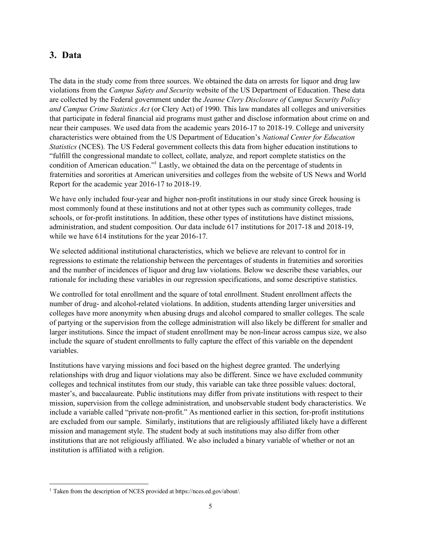### **3. Data**

The data in the study come from three sources. We obtained the data on arrests for liquor and drug law violations from the *Campus Safety and Security* website of the US Department of Education. These data are collected by the Federal government under the *Jeanne Clery Disclosure of Campus Security Policy and Campus Crime Statistics Act* (or Clery Act) of 1990. This law mandates all colleges and universities that participate in federal financial aid programs must gather and disclose information about crime on and near their campuses. We used data from the academic years 2016-17 to 2018-19. College and university characteristics were obtained from the US Department of Education's *National Center for Education Statistics* (NCES). The US Federal government collects this data from higher education institutions to "fulfill the congressional mandate to collect, collate, analyze, and report complete statistics on the condition of American education." <sup>1</sup> Lastly, we obtained the data on the percentage of students in fraternities and sororities at American universities and colleges from the website of US News and World Report for the academic year 2016-17 to 2018-19.

We have only included four-year and higher non-profit institutions in our study since Greek housing is most commonly found at these institutions and not at other types such as community colleges, trade schools, or for-profit institutions. In addition, these other types of institutions have distinct missions, administration, and student composition. Our data include 617 institutions for 2017-18 and 2018-19, while we have 614 institutions for the year 2016-17.

We selected additional institutional characteristics, which we believe are relevant to control for in regressions to estimate the relationship between the percentages of students in fraternities and sororities and the number of incidences of liquor and drug law violations. Below we describe these variables, our rationale for including these variables in our regression specifications, and some descriptive statistics.

We controlled for total enrollment and the square of total enrollment. Student enrollment affects the number of drug- and alcohol-related violations. In addition, students attending larger universities and colleges have more anonymity when abusing drugs and alcohol compared to smaller colleges. The scale of partying or the supervision from the college administration will also likely be different for smaller and larger institutions. Since the impact of student enrollment may be non-linear across campus size, we also include the square of student enrollments to fully capture the effect of this variable on the dependent variables.

Institutions have varying missions and foci based on the highest degree granted. The underlying relationships with drug and liquor violations may also be different. Since we have excluded community colleges and technical institutes from our study, this variable can take three possible values: doctoral, master's, and baccalaureate. Public institutions may differ from private institutions with respect to their mission, supervision from the college administration, and unobservable student body characteristics. We include a variable called "private non-profit." As mentioned earlier in this section, for-profit institutions are excluded from our sample. Similarly, institutions that are religiously affiliated likely have a different mission and management style. The student body at such institutions may also differ from other institutions that are not religiously affiliated. We also included a binary variable of whether or not an institution is affiliated with a religion.

<sup>1</sup> Taken from the description of NCES provided at https://nces.ed.gov/about/.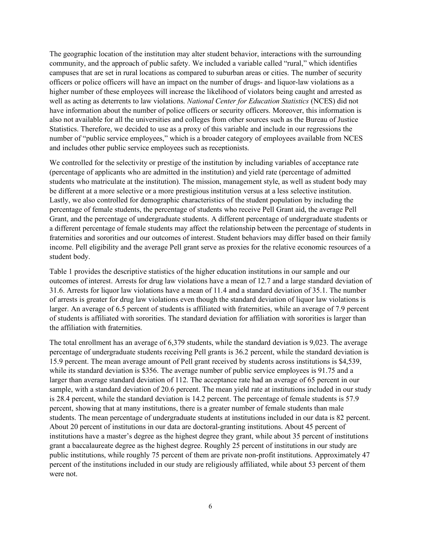The geographic location of the institution may alter student behavior, interactions with the surrounding community, and the approach of public safety. We included a variable called "rural," which identifies campuses that are set in rural locations as compared to suburban areas or cities. The number of security officers or police officers will have an impact on the number of drugs- and liquor-law violations as a higher number of these employees will increase the likelihood of violators being caught and arrested as well as acting as deterrents to law violations. *National Center for Education Statistics* (NCES) did not have information about the number of police officers or security officers. Moreover, this information is also not available for all the universities and colleges from other sources such as the Bureau of Justice Statistics. Therefore, we decided to use as a proxy of this variable and include in our regressions the number of "public service employees," which is a broader category of employees available from NCES and includes other public service employees such as receptionists.

We controlled for the selectivity or prestige of the institution by including variables of acceptance rate (percentage of applicants who are admitted in the institution) and yield rate (percentage of admitted students who matriculate at the institution). The mission, management style, as well as student body may be different at a more selective or a more prestigious institution versus at a less selective institution. Lastly, we also controlled for demographic characteristics of the student population by including the percentage of female students, the percentage of students who receive Pell Grant aid, the average Pell Grant, and the percentage of undergraduate students. A different percentage of undergraduate students or a different percentage of female students may affect the relationship between the percentage of students in fraternities and sororities and our outcomes of interest. Student behaviors may differ based on their family income. Pell eligibility and the average Pell grant serve as proxies for the relative economic resources of a student body.

Table 1 provides the descriptive statistics of the higher education institutions in our sample and our outcomes of interest. Arrests for drug law violations have a mean of 12.7 and a large standard deviation of 31.6. Arrests for liquor law violations have a mean of 11.4 and a standard deviation of 35.1. The number of arrests is greater for drug law violations even though the standard deviation of liquor law violations is larger. An average of 6.5 percent of students is affiliated with fraternities, while an average of 7.9 percent of students is affiliated with sororities. The standard deviation for affiliation with sororities is larger than the affiliation with fraternities.

The total enrollment has an average of 6,379 students, while the standard deviation is 9,023. The average percentage of undergraduate students receiving Pell grants is 36.2 percent, while the standard deviation is 15.9 percent. The mean average amount of Pell grant received by students across institutions is \$4,539, while its standard deviation is \$356. The average number of public service employees is 91.75 and a larger than average standard deviation of 112. The acceptance rate had an average of 65 percent in our sample, with a standard deviation of 20.6 percent. The mean yield rate at institutions included in our study is 28.4 percent, while the standard deviation is 14.2 percent. The percentage of female students is 57.9 percent, showing that at many institutions, there is a greater number of female students than male students. The mean percentage of undergraduate students at institutions included in our data is 82 percent. About 20 percent of institutions in our data are doctoral-granting institutions. About 45 percent of institutions have a master's degree as the highest degree they grant, while about 35 percent of institutions grant a baccalaureate degree as the highest degree. Roughly 25 percent of institutions in our study are public institutions, while roughly 75 percent of them are private non-profit institutions. Approximately 47 percent of the institutions included in our study are religiously affiliated, while about 53 percent of them were not.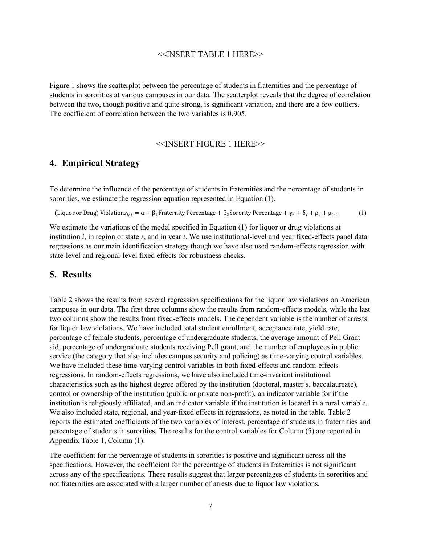#### <<INSERT TABLE 1 HERE>>

Figure 1 shows the scatterplot between the percentage of students in fraternities and the percentage of students in sororities at various campuses in our data. The scatterplot reveals that the degree of correlation between the two, though positive and quite strong, is significant variation, and there are a few outliers. The coefficient of correlation between the two variables is 0.905.

#### <<INSERT FIGURE 1 HERE>>

#### **4. Empirical Strategy**

To determine the influence of the percentage of students in fraternities and the percentage of students in sororities, we estimate the regression equation represented in Equation (1).

(Liquor or Drug) Violations<sub>irt</sub> =  $\alpha + \beta_1$ Fraternity Percentage +  $\beta_2$ Sorority Percentage +  $\gamma_r + \delta_i + \rho_t + \mu_{irt}$  (1)

We estimate the variations of the model specified in Equation (1) for liquor or drug violations at institution *i*, in region or state *r*, and in year *t*. We use institutional-level and year fixed-effects panel data regressions as our main identification strategy though we have also used random-effects regression with state-level and regional-level fixed effects for robustness checks.

#### **5. Results**

Table 2 shows the results from several regression specifications for the liquor law violations on American campuses in our data. The first three columns show the results from random-effects models, while the last two columns show the results from fixed-effects models. The dependent variable is the number of arrests for liquor law violations. We have included total student enrollment, acceptance rate, yield rate, percentage of female students, percentage of undergraduate students, the average amount of Pell Grant aid, percentage of undergraduate students receiving Pell grant, and the number of employees in public service (the category that also includes campus security and policing) as time-varying control variables. We have included these time-varying control variables in both fixed-effects and random-effects regressions. In random-effects regressions, we have also included time-invariant institutional characteristics such as the highest degree offered by the institution (doctoral, master's, baccalaureate), control or ownership of the institution (public or private non-profit), an indicator variable for if the institution is religiously affiliated, and an indicator variable if the institution is located in a rural variable. We also included state, regional, and year-fixed effects in regressions, as noted in the table. Table 2 reports the estimated coefficients of the two variables of interest, percentage of students in fraternities and percentage of students in sororities. The results for the control variables for Column (5) are reported in Appendix Table 1, Column (1).

The coefficient for the percentage of students in sororities is positive and significant across all the specifications. However, the coefficient for the percentage of students in fraternities is not significant across any of the specifications. These results suggest that larger percentages of students in sororities and not fraternities are associated with a larger number of arrests due to liquor law violations.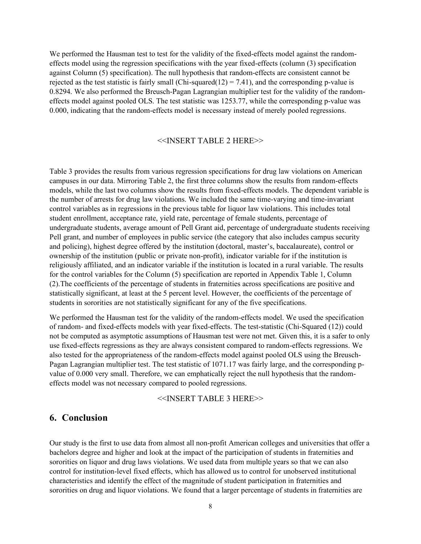We performed the Hausman test to test for the validity of the fixed-effects model against the randomeffects model using the regression specifications with the year fixed-effects (column (3) specification against Column (5) specification). The null hypothesis that random-effects are consistent cannot be rejected as the test statistic is fairly small (Chi-squared(12) = 7.41), and the corresponding p-value is 0.8294. We also performed the Breusch-Pagan Lagrangian multiplier test for the validity of the randomeffects model against pooled OLS. The test statistic was 1253.77, while the corresponding p-value was 0.000, indicating that the random-effects model is necessary instead of merely pooled regressions.

#### <<INSERT TABLE 2 HERE>>

Table 3 provides the results from various regression specifications for drug law violations on American campuses in our data. Mirroring Table 2, the first three columns show the results from random-effects models, while the last two columns show the results from fixed-effects models. The dependent variable is the number of arrests for drug law violations. We included the same time-varying and time-invariant control variables as in regressions in the previous table for liquor law violations. This includes total student enrollment, acceptance rate, yield rate, percentage of female students, percentage of undergraduate students, average amount of Pell Grant aid, percentage of undergraduate students receiving Pell grant, and number of employees in public service (the category that also includes campus security and policing), highest degree offered by the institution (doctoral, master's, baccalaureate), control or ownership of the institution (public or private non-profit), indicator variable for if the institution is religiously affiliated, and an indicator variable if the institution is located in a rural variable. The results for the control variables for the Column (5) specification are reported in Appendix Table 1, Column (2).The coefficients of the percentage of students in fraternities across specifications are positive and statistically significant, at least at the 5 percent level. However, the coefficients of the percentage of students in sororities are not statistically significant for any of the five specifications.

We performed the Hausman test for the validity of the random-effects model. We used the specification of random- and fixed-effects models with year fixed-effects. The test-statistic (Chi-Squared (12)) could not be computed as asymptotic assumptions of Hausman test were not met. Given this, it is a safer to only use fixed-effects regressions as they are always consistent compared to random-effects regressions. We also tested for the appropriateness of the random-effects model against pooled OLS using the Breusch-Pagan Lagrangian multiplier test. The test statistic of 1071.17 was fairly large, and the corresponding pvalue of 0.000 very small. Therefore, we can emphatically reject the null hypothesis that the randomeffects model was not necessary compared to pooled regressions.

<<INSERT TABLE 3 HERE>>

#### **6. Conclusion**

Our study is the first to use data from almost all non-profit American colleges and universities that offer a bachelors degree and higher and look at the impact of the participation of students in fraternities and sororities on liquor and drug laws violations. We used data from multiple years so that we can also control for institution-level fixed effects, which has allowed us to control for unobserved institutional characteristics and identify the effect of the magnitude of student participation in fraternities and sororities on drug and liquor violations. We found that a larger percentage of students in fraternities are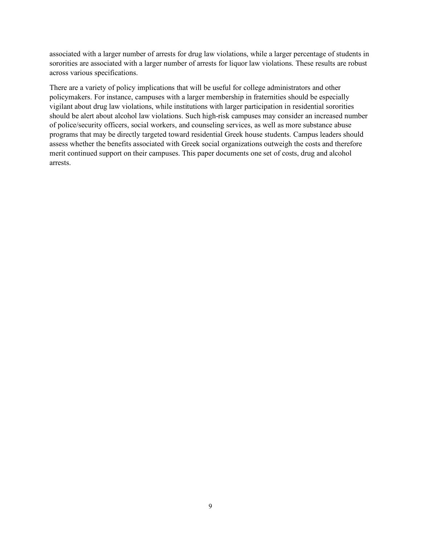associated with a larger number of arrests for drug law violations, while a larger percentage of students in sororities are associated with a larger number of arrests for liquor law violations. These results are robust across various specifications.

There are a variety of policy implications that will be useful for college administrators and other policymakers. For instance, campuses with a larger membership in fraternities should be especially vigilant about drug law violations, while institutions with larger participation in residential sororities should be alert about alcohol law violations. Such high-risk campuses may consider an increased number of police/security officers, social workers, and counseling services, as well as more substance abuse programs that may be directly targeted toward residential Greek house students. Campus leaders should assess whether the benefits associated with Greek social organizations outweigh the costs and therefore merit continued support on their campuses. This paper documents one set of costs, drug and alcohol arrests.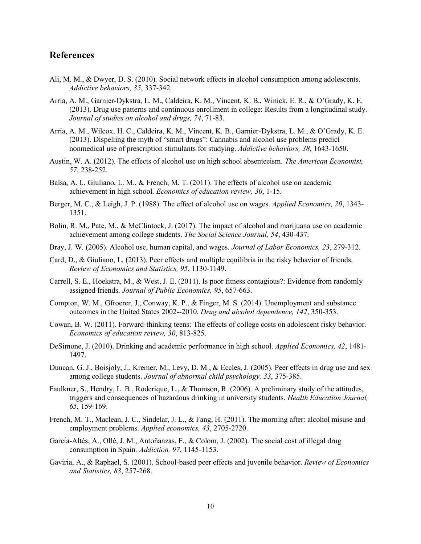#### **References**

- Ali, M. M., & Dwyer, D. S. (2010). Social network effects in alcohol consumption among adolescents. *Addictive behaviors, 35*, 337-342.
- Arria, A. M., Garnier-Dykstra, L. M., Caldeira, K. M., Vincent, K. B., Winick, E. R., & O'Grady, K. E. (2013). Drug use patterns and continuous enrollment in college: Results from a longitudinal study. *Journal of studies on alcohol and drugs, 74*, 71-83.
- Arria, A. M., Wilcox, H. C., Caldeira, K. M., Vincent, K. B., Garnier-Dykstra, L. M., & O'Grady, K. E. (2013). Dispelling the myth of "smart drugs": Cannabis and alcohol use problems predict nonmedical use of prescription stimulants for studying. *Addictive behaviors, 38*, 1643-1650.
- Austin, W. A. (2012). The effects of alcohol use on high school absenteeism. *The American Economist, 57*, 238-252.
- Balsa, A. I., Giuliano, L. M., & French, M. T. (2011). The effects of alcohol use on academic achievement in high school. *Economics of education review, 30*, 1-15.
- Berger, M. C., & Leigh, J. P. (1988). The effect of alcohol use on wages. *Applied Economics, 20*, 1343- 1351.
- Bolin, R. M., Pate, M., & McClintock, J. (2017). The impact of alcohol and marijuana use on academic achievement among college students. *The Social Science Journal, 54*, 430-437.
- Bray, J. W. (2005). Alcohol use, human capital, and wages. *Journal of Labor Economics, 23*, 279-312.
- Card, D., & Giuliano, L. (2013). Peer effects and multiple equilibria in the risky behavior of friends. *Review of Economics and Statistics, 95*, 1130-1149.
- Carrell, S. E., Hoekstra, M., & West, J. E. (2011). Is poor fitness contagious?: Evidence from randomly assigned friends. *Journal of Public Economics, 95*, 657-663.
- Compton, W. M., Gfroerer, J., Conway, K. P., & Finger, M. S. (2014). Unemployment and substance outcomes in the United States 2002--2010. *Drug and alcohol dependence, 142*, 350-353.
- Cowan, B. W. (2011). Forward-thinking teens: The effects of college costs on adolescent risky behavior. *Economics of education review, 30*, 813-825.
- DeSimone, J. (2010). Drinking and academic performance in high school. *Applied Economics, 42*, 1481- 1497.
- Duncan, G. J., Boisjoly, J., Kremer, M., Levy, D. M., & Eccles, J. (2005). Peer effects in drug use and sex among college students. *Journal of abnormal child psychology, 33*, 375-385.
- Faulkner, S., Hendry, L. B., Roderique, L., & Thomson, R. (2006). A preliminary study of the attitudes, triggers and consequences of hazardous drinking in university students. *Health Education Journal, 65*, 159-169.
- French, M. T., Maclean, J. C., Sindelar, J. L., & Fang, H. (2011). The morning after: alcohol misuse and employment problems. *Applied economics, 43*, 2705-2720.
- García-Altés, A., Ollé, J. M., Antoñanzas, F., & Colom, J. (2002). The social cost of illegal drug consumption in Spain. *Addiction, 97*, 1145-1153.
- Gaviria, A., & Raphael, S. (2001). School-based peer effects and juvenile behavior. *Review of Economics and Statistics, 83*, 257-268.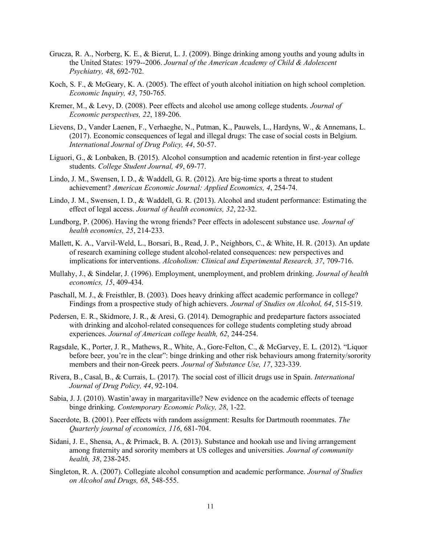- Grucza, R. A., Norberg, K. E., & Bierut, L. J. (2009). Binge drinking among youths and young adults in the United States: 1979--2006. *Journal of the American Academy of Child & Adolescent Psychiatry, 48*, 692-702.
- Koch, S. F., & McGeary, K. A. (2005). The effect of youth alcohol initiation on high school completion. *Economic Inquiry, 43*, 750-765.
- Kremer, M., & Levy, D. (2008). Peer effects and alcohol use among college students. *Journal of Economic perspectives, 22*, 189-206.
- Lievens, D., Vander Laenen, F., Verhaeghe, N., Putman, K., Pauwels, L., Hardyns, W., & Annemans, L. (2017). Economic consequences of legal and illegal drugs: The case of social costs in Belgium. *International Journal of Drug Policy, 44*, 50-57.
- Liguori, G., & Lonbaken, B. (2015). Alcohol consumption and academic retention in first-year college students. *College Student Journal, 49*, 69-77.
- Lindo, J. M., Swensen, I. D., & Waddell, G. R. (2012). Are big-time sports a threat to student achievement? *American Economic Journal: Applied Economics, 4*, 254-74.
- Lindo, J. M., Swensen, I. D., & Waddell, G. R. (2013). Alcohol and student performance: Estimating the effect of legal access. *Journal of health economics, 32*, 22-32.
- Lundborg, P. (2006). Having the wrong friends? Peer effects in adolescent substance use. *Journal of health economics, 25*, 214-233.
- Mallett, K. A., Varvil-Weld, L., Borsari, B., Read, J. P., Neighbors, C., & White, H. R. (2013). An update of research examining college student alcohol-related consequences: new perspectives and implications for interventions. *Alcoholism: Clinical and Experimental Research, 37*, 709-716.
- Mullahy, J., & Sindelar, J. (1996). Employment, unemployment, and problem drinking. *Journal of health economics, 15*, 409-434.
- Paschall, M. J., & Freisthler, B. (2003). Does heavy drinking affect academic performance in college? Findings from a prospective study of high achievers. *Journal of Studies on Alcohol, 64*, 515-519.
- Pedersen, E. R., Skidmore, J. R., & Aresi, G. (2014). Demographic and predeparture factors associated with drinking and alcohol-related consequences for college students completing study abroad experiences. *Journal of American college health, 62*, 244-254.
- Ragsdale, K., Porter, J. R., Mathews, R., White, A., Gore-Felton, C., & McGarvey, E. L. (2012). "Liquor before beer, you're in the clear": binge drinking and other risk behaviours among fraternity/sorority members and their non-Greek peers. *Journal of Substance Use, 17*, 323-339.
- Rivera, B., Casal, B., & Currais, L. (2017). The social cost of illicit drugs use in Spain. *International Journal of Drug Policy, 44*, 92-104.
- Sabia, J. J. (2010). Wastin'away in margaritaville? New evidence on the academic effects of teenage binge drinking. *Contemporary Economic Policy, 28*, 1-22.
- Sacerdote, B. (2001). Peer effects with random assignment: Results for Dartmouth roommates. *The Quarterly journal of economics, 116*, 681-704.
- Sidani, J. E., Shensa, A., & Primack, B. A. (2013). Substance and hookah use and living arrangement among fraternity and sorority members at US colleges and universities. *Journal of community health, 38*, 238-245.
- Singleton, R. A. (2007). Collegiate alcohol consumption and academic performance. *Journal of Studies on Alcohol and Drugs, 68*, 548-555.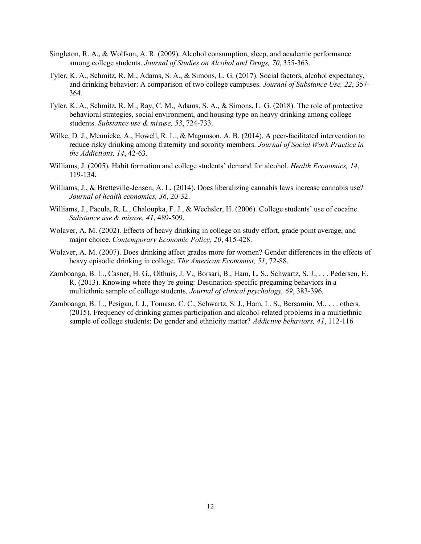- Singleton, R. A., & Wolfson, A. R. (2009). Alcohol consumption, sleep, and academic performance among college students. *Journal of Studies on Alcohol and Drugs, 70*, 355-363.
- Tyler, K. A., Schmitz, R. M., Adams, S. A., & Simons, L. G. (2017). Social factors, alcohol expectancy, and drinking behavior: A comparison of two college campuses. *Journal of Substance Use, 22*, 357- 364.
- Tyler, K. A., Schmitz, R. M., Ray, C. M., Adams, S. A., & Simons, L. G. (2018). The role of protective behavioral strategies, social environment, and housing type on heavy drinking among college students. *Substance use & misuse, 53*, 724-733.
- Wilke, D. J., Mennicke, A., Howell, R. L., & Magnuson, A. B. (2014). A peer-facilitated intervention to reduce risky drinking among fraternity and sorority members. *Journal of Social Work Practice in the Addictions, 14*, 42-63.
- Williams, J. (2005). Habit formation and college students' demand for alcohol. *Health Economics, 14*, 119-134.
- Williams, J., & Bretteville-Jensen, A. L. (2014). Does liberalizing cannabis laws increase cannabis use? *Journal of health economics, 36*, 20-32.
- Williams, J., Pacula, R. L., Chaloupka, F. J., & Wechsler, H. (2006). College students' use of cocaine. *Substance use & misuse, 41*, 489-509.
- Wolaver, A. M. (2002). Effects of heavy drinking in college on study effort, grade point average, and major choice. *Contemporary Economic Policy, 20*, 415-428.
- Wolaver, A. M. (2007). Does drinking affect grades more for women? Gender differences in the effects of heavy episodic drinking in college. *The American Economist, 51*, 72-88.
- Zamboanga, B. L., Casner, H. G., Olthuis, J. V., Borsari, B., Ham, L. S., Schwartz, S. J., . . . Pedersen, E. R. (2013). Knowing where they're going: Destination-specific pregaming behaviors in a multiethnic sample of college students. *Journal of clinical psychology, 69*, 383-396.
- Zamboanga, B. L., Pesigan, I. J., Tomaso, C. C., Schwartz, S. J., Ham, L. S., Bersamin, M., ... others. (2015). Frequency of drinking games participation and alcohol-related problems in a multiethnic sample of college students: Do gender and ethnicity matter? *Addictive behaviors, 41*, 112-116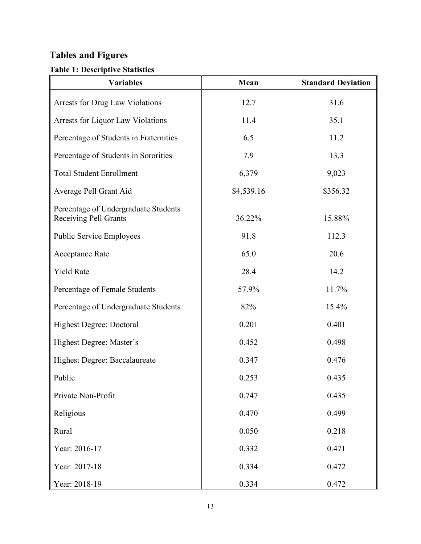## **Tables and Figures**

### **Table 1: Descriptive Statistics**

| <b>Variables</b>                                                     | Mean       | <b>Standard Deviation</b> |
|----------------------------------------------------------------------|------------|---------------------------|
| Arrests for Drug Law Violations                                      | 12.7       | 31.6                      |
| Arrests for Liquor Law Violations                                    | 11.4       | 35.1                      |
| Percentage of Students in Fraternities                               | 6.5        | 11.2                      |
| Percentage of Students in Sororities                                 | 7.9        | 13.3                      |
| <b>Total Student Enrollment</b>                                      | 6,379      | 9,023                     |
| Average Pell Grant Aid                                               | \$4,539.16 | \$356.32                  |
| Percentage of Undergraduate Students<br><b>Receiving Pell Grants</b> | 36.22%     | 15.88%                    |
| <b>Public Service Employees</b>                                      | 91.8       | 112.3                     |
| Acceptance Rate                                                      | 65.0       | 20.6                      |
| <b>Yield Rate</b>                                                    | 28.4       | 14.2                      |
| Percentage of Female Students                                        | 57.9%      | 11.7%                     |
| Percentage of Undergraduate Students                                 | 82%        | 15.4%                     |
| Highest Degree: Doctoral                                             | 0.201      | 0.401                     |
| Highest Degree: Master's                                             | 0.452      | 0.498                     |
| Highest Degree: Baccalaureate                                        | 0.347      | 0.476                     |
| Public                                                               | 0.253      | 0.435                     |
| Private Non-Profit                                                   | 0.747      | 0.435                     |
| Religious                                                            | 0.470      | 0.499                     |
| Rural                                                                | 0.050      | 0.218                     |
| Year: 2016-17                                                        | 0.332      | 0.471                     |
| Year: 2017-18                                                        | 0.334      | 0.472                     |
| Year: 2018-19                                                        | 0.334      | 0.472                     |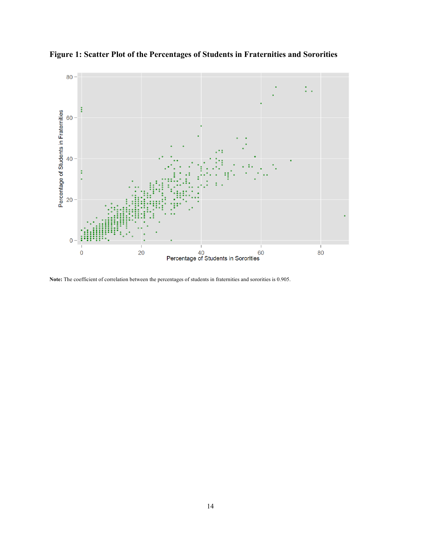

**Figure 1: Scatter Plot of the Percentages of Students in Fraternities and Sororities** 

**Note:** The coefficient of correlation between the percentages of students in fraternities and sororities is 0.905.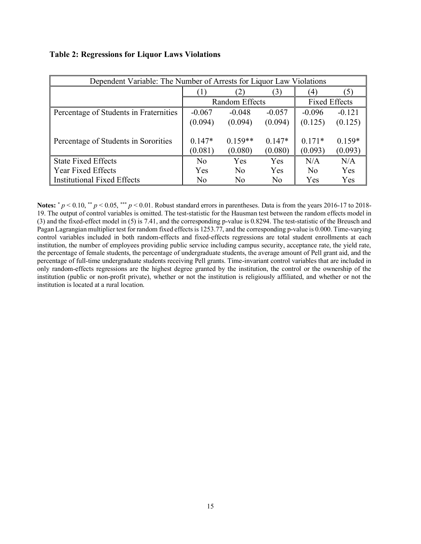| Dependent Variable: The Number of Arrests for Liquor Law Violations |                     |                      |                      |                     |                     |  |
|---------------------------------------------------------------------|---------------------|----------------------|----------------------|---------------------|---------------------|--|
|                                                                     |                     | $\mathbf{2}$         | 3)                   | (4)                 | $\mathcal{L}$       |  |
|                                                                     |                     | Random Effects       | <b>Fixed Effects</b> |                     |                     |  |
| Percentage of Students in Fraternities                              | $-0.067$            | $-0.048$             | $-0.057$             | $-0.096$            | $-0.121$            |  |
|                                                                     | (0.094)             | (0.094)              | (0.094)              | (0.125)             | (0.125)             |  |
| Percentage of Students in Sororities                                | $0.147*$<br>(0.081) | $0.159**$<br>(0.080) | $0.147*$<br>(0.080)  | $0.171*$<br>(0.093) | $0.159*$<br>(0.093) |  |
| <b>State Fixed Effects</b>                                          | No.                 | Yes                  | Yes                  | N/A                 | N/A                 |  |
| Year Fixed Effects                                                  | Yes                 | No                   | Yes                  | No                  | Yes                 |  |
| <b>Institutional Fixed Effects</b>                                  | N <sub>0</sub>      | No                   | No                   | Yes                 | Yes                 |  |

#### **Table 2: Regressions for Liquor Laws Violations**

**Notes:**  $* p < 0.10, ** p < 0.05, *** p < 0.01$ . Robust standard errors in parentheses. Data is from the years 2016-17 to 2018-19. The output of control variables is omitted. The test-statistic for the Hausman test between the random effects model in (3) and the fixed-effect model in (5) is 7.41, and the corresponding p-value is 0.8294. The test-statistic of the Breusch and Pagan Lagrangian multiplier test for random fixed effectsis 1253.77, and the corresponding p-value is 0.000. Time-varying control variables included in both random-effects and fixed-effects regressions are total student enrollments at each institution, the number of employees providing public service including campus security, acceptance rate, the yield rate, the percentage of female students, the percentage of undergraduate students, the average amount of Pell grant aid, and the percentage of full-time undergraduate students receiving Pell grants. Time-invariant control variables that are included in only random-effects regressions are the highest degree granted by the institution, the control or the ownership of the institution (public or non-profit private), whether or not the institution is religiously affiliated, and whether or not the institution is located at a rural location.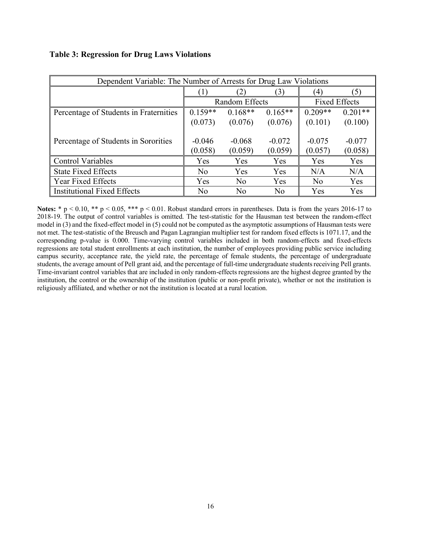|  |  | <b>Table 3: Regression for Drug Laws Violations</b> |  |  |  |  |  |
|--|--|-----------------------------------------------------|--|--|--|--|--|
|  |  |                                                     |  |  |  |  |  |

| Dependent Variable: The Number of Arrests for Drug Law Violations |                |                |                      |           |           |  |
|-------------------------------------------------------------------|----------------|----------------|----------------------|-----------|-----------|--|
|                                                                   |                | (2)            | (3)                  | (4)       | (5)       |  |
|                                                                   |                | Random Effects | <b>Fixed Effects</b> |           |           |  |
| Percentage of Students in Fraternities                            | $0.159**$      | $0.168**$      | $0.165**$            | $0.209**$ | $0.201**$ |  |
|                                                                   | (0.073)        | (0.076)        | (0.076)              | (0.101)   | (0.100)   |  |
|                                                                   |                |                |                      |           |           |  |
| Percentage of Students in Sororities                              | $-0.046$       | $-0.068$       | $-0.072$             | $-0.075$  | $-0.077$  |  |
|                                                                   | (0.058)        | (0.059)        | (0.059)              | (0.057)   | (0.058)   |  |
| <b>Control Variables</b>                                          | Yes            | Yes            | Yes                  | Yes       | Yes       |  |
| <b>State Fixed Effects</b>                                        | N <sub>o</sub> | <b>Yes</b>     | Yes                  | N/A       | N/A       |  |
| <b>Year Fixed Effects</b>                                         | Yes            | No             | Yes                  | No        | Yes       |  |
| <b>Institutional Fixed Effects</b>                                | No             | No             | No                   | Yes       | Yes       |  |

**Notes:** \* p < 0.10, \*\* p < 0.05, \*\*\* p < 0.01. Robust standard errors in parentheses. Data is from the years 2016-17 to 2018-19. The output of control variables is omitted. The test-statistic for the Hausman test between the random-effect model in (3) and the fixed-effect model in (5) could not be computed as the asymptotic assumptions of Hausman tests were not met. The test-statistic of the Breusch and Pagan Lagrangian multiplier test for random fixed effects is 1071.17, and the corresponding p-value is 0.000. Time-varying control variables included in both random-effects and fixed-effects regressions are total student enrollments at each institution, the number of employees providing public service including campus security, acceptance rate, the yield rate, the percentage of female students, the percentage of undergraduate students, the average amount of Pell grant aid, and the percentage of full-time undergraduate students receiving Pell grants. Time-invariant control variables that are included in only random-effects regressions are the highest degree granted by the institution, the control or the ownership of the institution (public or non-profit private), whether or not the institution is religiously affiliated, and whether or not the institution is located at a rural location.